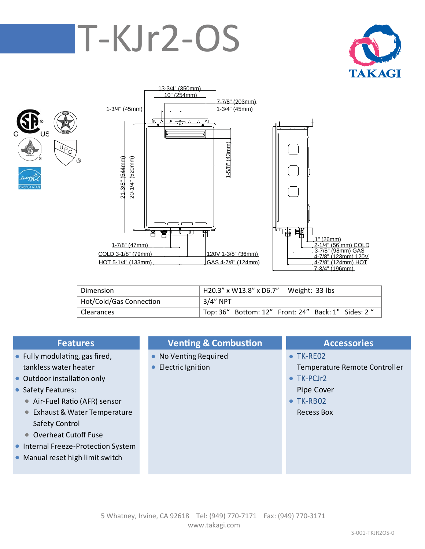# T-KJr2-OS







| 1" (26mm)<br>2-1/4" (56 mm) COLD<br>3-7/8" (98mm) GAS<br><u>4-7/8" (123mm) 120V</u><br><u>4-7/8" (124mm) HOT</u><br>7-3/4" (196mm) |
|------------------------------------------------------------------------------------------------------------------------------------|

| Dimension               | H20.3" x W13.8" x D6.7" Weight: 33 lbs             |
|-------------------------|----------------------------------------------------|
| Hot/Cold/Gas Connection | 3/4" NPT                                           |
| Clearances              | Top: 36" Bottom: 12" Front: 24" Back: 1" Sides: 2" |

- Fully modulating, gas fired,  **No Venting Required TK-RE02**
- Outdoor installation only **TK-PCJr2**
- **•** Safety Features: Pipe Cover
	- Air-Fuel Ratio (AFR) sensor TK-RB02
	- **Exhaust & Water Temperature Recess Box Recess Box** Safety Control
	- Overheat Cutoff Fuse
- **Internal Freeze-Protection System**
- **Manual reset high limit switch**

## **Features Venting & Combustion Accessories**

- 
- 

- tankless water heater **Electric Ignition** Electric Ignition Temperature Remote Controller
	-
	-
	-